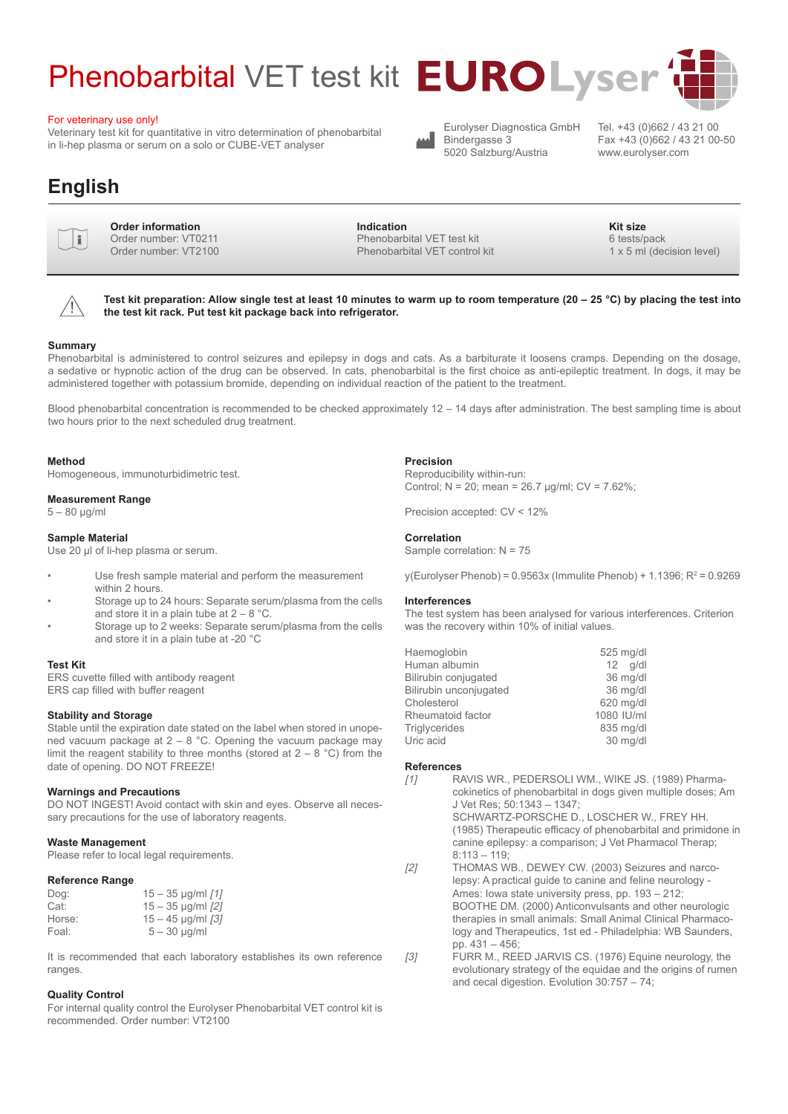# Phenobarbital VET test kit **EUROLyser**

#### For veterinary use only!

Veterinary test kit for quantitative in vitro determination of phenobarbital in li-hep plasma or serum on a solo or CUBE-VET analyser

## **English**



**Order information**<br>
Order number: VT0211<br>
Order number: VT0400 Order number: VT2100

**Indication Kit size** Phenobarbital VET test kit Phenobarbital VET control kit

1 x 5 ml (decision level)

Tel. +43 (0)662 / 43 21 00 Fax +43 (0)662 / 43 21 00-50

www.eurolyser.com

6 tests/pack

 $\triangle$ 

**Test kit preparation: Allow single test at least 10 minutes to warm up to room temperature (20 – 25 °C) by placing the test into the test kit rack. Put test kit package back into refrigerator.**

#### **Summary**

Phenobarbital is administered to control seizures and epilepsy in dogs and cats. As a barbiturate it loosens cramps. Depending on the dosage, a sedative or hypnotic action of the drug can be observed. In cats, phenobarbital is the first choice as anti-epileptic treatment. In dogs, it may be administered together with potassium bromide, depending on individual reaction of the patient to the treatment.

Blood phenobarbital concentration is recommended to be checked approximately  $12 - 14$  days after administration. The best sampling time is about two hours prior to the next scheduled drug treatment.

#### **Method**

Homogeneous, immunoturbidimetric test.

#### **Measurement Range**

5 – 80 µg/ml

#### **Sample Material**

Use 20 µl of li-hep plasma or serum.

- Use fresh sample material and perform the measurement within 2 hours.
- Storage up to 24 hours: Separate serum/plasma from the cells and store it in a plain tube at  $2 - 8$  °C.
- Storage up to 2 weeks: Separate serum/plasma from the cells and store it in a plain tube at -20 °C

#### **Test Kit**

ERS cuvette filled with antibody reagent ERS cap filled with buffer reagent

#### **Stability and Storage**

Stable until the expiration date stated on the label when stored in unopened vacuum package at  $2 - 8$  °C. Opening the vacuum package may limit the reagent stability to three months (stored at  $2 - 8$  °C) from the date of opening. DO NOT FREEZE!

#### **Warnings and Precautions**

DO NOT INGEST! Avoid contact with skin and eyes. Observe all necessary precautions for the use of laboratory reagents.

#### **Waste Management**

Please refer to local legal requirements.

#### **Reference Range**

| Dog:   | $15 - 35$ µg/ml $[1]$ |
|--------|-----------------------|
| Cat:   | $15 - 35$ µg/ml $[2]$ |
| Horse: | $15 - 45$ µg/ml $[3]$ |
|        |                       |
| Foal:  | $5 - 30$ µg/ml        |

It is recommended that each laboratory establishes its own reference ranges.

#### **Quality Control**

For internal quality control the Eurolyser Phenobarbital VET control kit is recommended. Order number: VT2100

#### **Precision**

Reproducibility within-run: Control;  $N = 20$ ; mean = 26.7 µg/ml;  $CV = 7.62\%$ ;

Eurolyser Diagnostica GmbH

Bindergasse 3 5020 Salzburg/Austria

Precision accepted: CV < 12%

#### **Correlation** Sample correlation: N = 75

y(Eurolyser Phenob) =  $0.9563x$  (Immulite Phenob) + 1.1396; R<sup>2</sup> =  $0.9269$ 

#### **Interferences**

The test system has been analysed for various interferences. Criterion was the recovery within 10% of initial values.

| 525 mg/d   |
|------------|
| $12$ g/d   |
| 36 mg/d    |
| 36 mg/d    |
| 620 mg/d   |
| 1080 IU/ml |
| 835 mg/dl  |
| 30 mg/d    |
|            |

#### **References**

- [1] RAVIS WR., PEDERSOLI WM., WIKE JS. (1989) Pharmacokinetics of phenobarbital in dogs given multiple doses; Am J Vet Res; 50:1343 – 1347; SCHWARTZ-PORSCHE D., LOSCHER W., FREY HH. (1985) Therapeutic efficacy of phenobarbital and primidone in canine epilepsy: a comparison; J Vet Pharmacol Therap;  $8:113 - 119$ [2] THOMAS WB., DEWEY CW. (2003) Seizures and narco
	- lepsy: A practical guide to canine and feline neurology Ames: Iowa state university press, pp. 193 – 212; BOOTHE DM. (2000) Anticonvulsants and other neurologic therapies in small animals: Small Animal Clinical Pharmacology and Therapeutics, 1st ed - Philadelphia: WB Saunders, pp. 431 – 456;
- [3] FURR M., REED JARVIS CS. (1976) Equine neurology, the evolutionary strategy of the equidae and the origins of rumen and cecal digestion. Evolution 30:757 – 74;

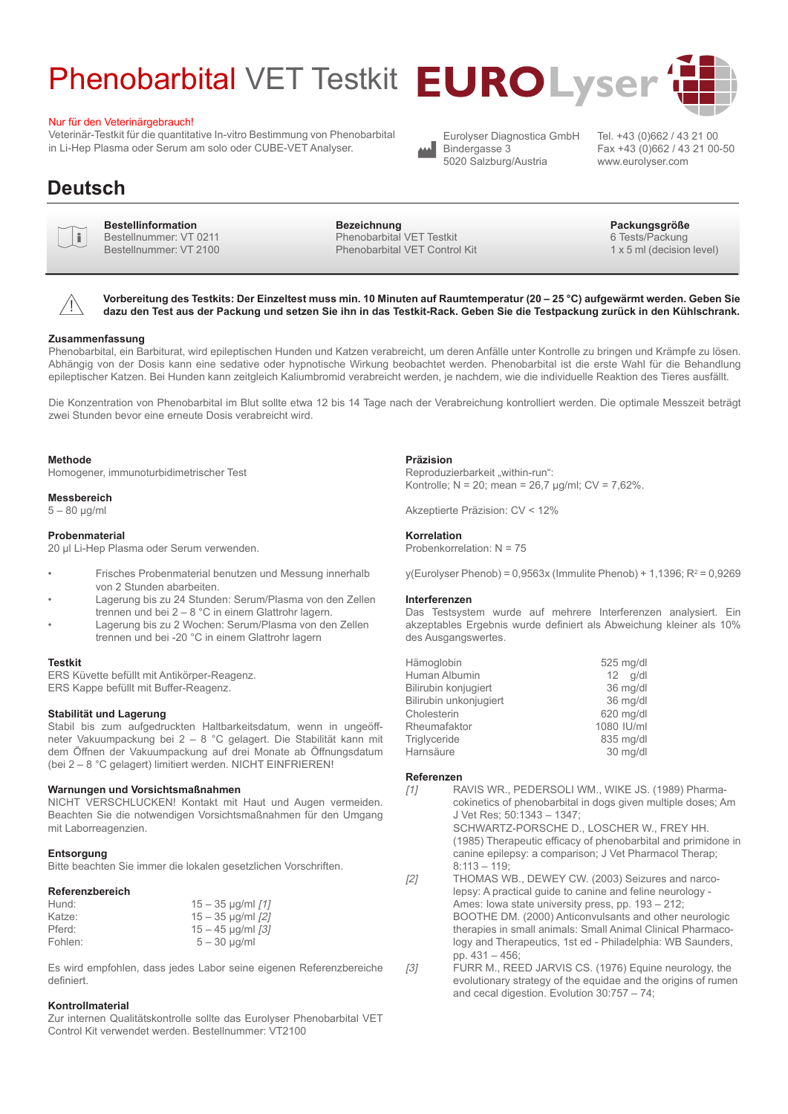# Phenobarbital VET Testkit **EUROLyser**

#### Nur für den Veterinärgebrauch!

Veterinär-Testkit für die quantitative In-vitro Bestimmung von Phenobarbital in Li-Hep Plasma oder Serum am solo oder CUBE-VET Analyser.

## **Deutsch**



**Bestellinformation Bezeichnung Packungsgröße** Bestellnummer: VT 0211 Bestellnummer: VT 2100

Phenobarbital VET Testkit Phenobarbital VET Control Kit

Fax +43 (0)662 / 43 21 00-50



**Vorbereitung des Testkits: Der Einzeltest muss min. 10 Minuten auf Raumtemperatur (20 – 25 °C) aufgewärmt werden. Geben Sie dazu den Test aus der Packung und setzen Sie ihn in das Testkit-Rack. Geben Sie die Testpackung zurück in den Kühlschrank.**

#### **Zusammenfassung**

Phenobarbital, ein Barbiturat, wird epileptischen Hunden und Katzen verabreicht, um deren Anfälle unter Kontrolle zu bringen und Krämpfe zu lösen. Abhängig von der Dosis kann eine sedative oder hypnotische Wirkung beobachtet werden. Phenobarbital ist die erste Wahl für die Behandlung epileptischer Katzen. Bei Hunden kann zeitgleich Kaliumbromid verabreicht werden, je nachdem, wie die individuelle Reaktion des Tieres ausfällt.

Die Konzentration von Phenobarbital im Blut sollte etwa 12 bis 14 Tage nach der Verabreichung kontrolliert werden. Die optimale Messzeit beträgt zwei Stunden bevor eine erneute Dosis verabreicht wird.

#### **Methode**

Homogener, immunoturbidimetrischer Test

#### **Messbereich**

 $5 - 80$  ug/ml

#### **Probenmaterial**

20 µl Li-Hep Plasma oder Serum verwenden.

- Frisches Probenmaterial benutzen und Messung innerhalb von 2 Stunden abarbeiten.
- Lagerung bis zu 24 Stunden: Serum/Plasma von den Zellen trennen und bei 2 – 8 °C in einem Glattrohr lagern.
- Lagerung bis zu 2 Wochen: Serum/Plasma von den Zellen trennen und bei -20 °C in einem Glattrohr lagern

#### **Testkit**

ERS Küvette befüllt mit Antikörper-Reagenz. ERS Kappe befüllt mit Buffer-Reagenz.

#### **Stabilität und Lagerung**

Stabil bis zum aufgedruckten Haltbarkeitsdatum, wenn in ungeöffneter Vakuumpackung bei 2 – 8 °C gelagert. Die Stabilität kann mit dem Öffnen der Vakuumpackung auf drei Monate ab Öffnungsdatum (bei 2 – 8 °C gelagert) limitiert werden. NICHT EINFRIEREN!

#### **Warnungen und Vorsichtsmaßnahmen**

NICHT VERSCHLUCKEN! Kontakt mit Haut und Augen vermeiden. Beachten Sie die notwendigen Vorsichtsmaßnahmen für den Umgang mit Laborreagenzien.

#### **Entsorgung**

Bitte beachten Sie immer die lokalen gesetzlichen Vorschriften.

#### **Referenzbereich**

| Hund:   | $15 - 35$ µg/ml $[1]$          |
|---------|--------------------------------|
| Katze:  | $15 - 35$ µg/ml $[2]$          |
| Pferd:  | $15 - 45$ µg/ml $\binom{3}{1}$ |
| Fohlen: | $5 - 30$ µg/ml                 |

Es wird empfohlen, dass jedes Labor seine eigenen Referenzbereiche definiert.

#### **Kontrollmaterial**

Zur internen Qualitätskontrolle sollte das Eurolyser Phenobarbital VET Control Kit verwendet werden. Bestellnummer: VT2100

#### **Präzision**

Reproduzierbarkeit "within-run": Kontrolle;  $N = 20$ ; mean =  $26.7$  µg/ml;  $CV = 7.62$ %.

Akzeptierte Präzision: CV < 12%

#### **Korrelation**

Probenkorrelation: N = 75

y(Eurolyser Phenob) = 0,9563x (Immulite Phenob) + 1,1396; R2 = 0,9269

#### **Interferenzen**

Das Testsystem wurde auf mehrere Interferenzen analysiert. Ein akzeptables Ergebnis wurde definiert als Abweichung kleiner als 10% des Ausgangswertes.

| Hämoglobin             | 525 mg/d   |
|------------------------|------------|
| Human Albumin          | $12$ g/d   |
| Bilirubin konjugiert   | 36 mg/d    |
| Bilirubin unkonjugiert | 36 mg/d    |
| Cholesterin            | 620 mg/dl  |
| Rheumafaktor           | 1080 IU/ml |
| Triglyceride           | 835 mg/d   |
| Harnsäure              | 30 mg/d    |
|                        |            |

#### **Referenzen**

[1] RAVIS WR., PEDERSOLI WM., WIKE JS. (1989) Pharmacokinetics of phenobarbital in dogs given multiple doses; Am J Vet Res; 50:1343 – 1347; SCHWARTZ-PORSCHE D., LOSCHER W., FREY HH. (1985) Therapeutic efficacy of phenobarbital and primidone in canine epilepsy: a comparison; J Vet Pharmacol Therap;

 $8:113 - 119$ [2] THOMAS WB., DEWEY CW. (2003) Seizures and narcolepsy: A practical guide to canine and feline neurology - Ames: Iowa state university press, pp. 193 – 212; BOOTHE DM. (2000) Anticonvulsants and other neurologic therapies in small animals: Small Animal Clinical Pharmacology and Therapeutics, 1st ed - Philadelphia: WB Saunders, pp. 431 – 456;

[3] FURR M., REED JARVIS CS. (1976) Equine neurology, the evolutionary strategy of the equidae and the origins of rumen and cecal digestion. Evolution 30:757 – 74;



www.eurolyser.com

Eurolyser Diagnostica GmbH Bindergasse 3 5020 Salzburg/Austria

6 Tests/Packung

1 x 5 ml (decision level)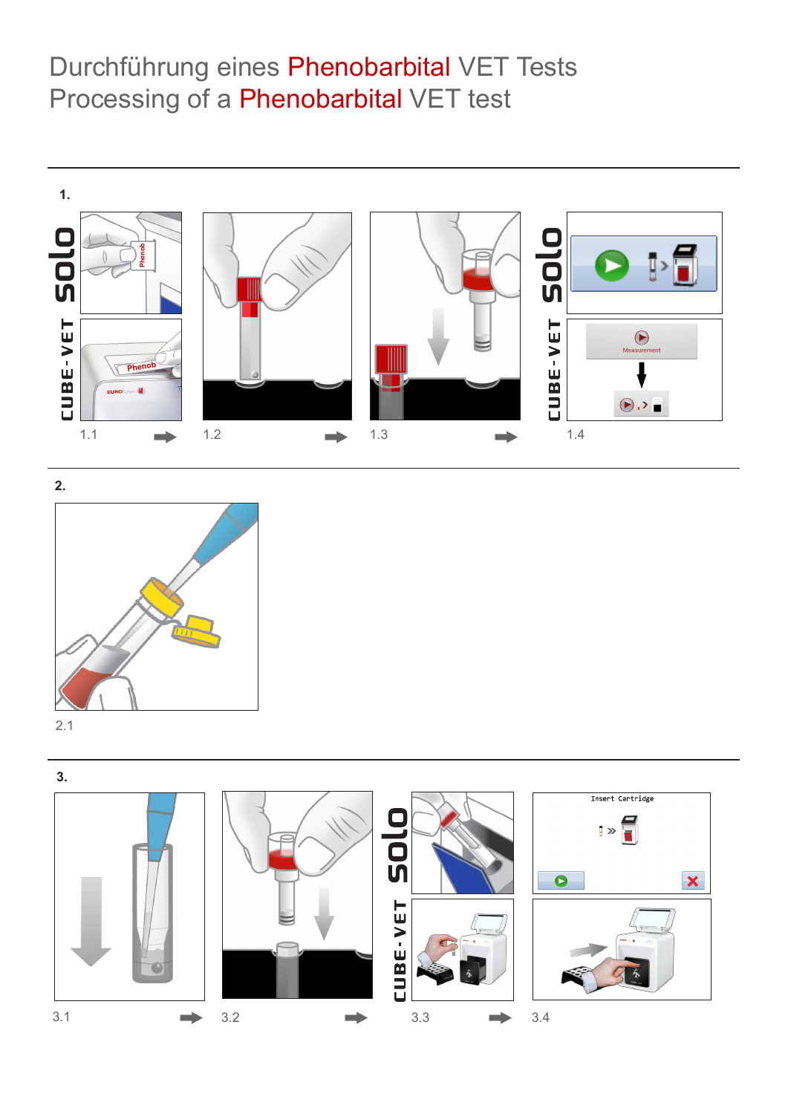# Durchführung eines Phenobarbital VET Tests Processing of a Phenobarbital VET test